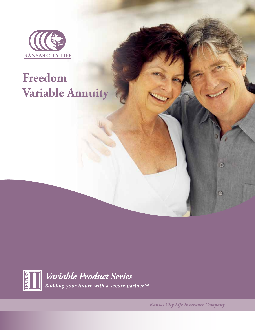

# **Freedom Variable Annuity**



*Variable Product Series Building your future with a secure partner SM*

*Kansas City Life Insurance Company*

Θ

Θ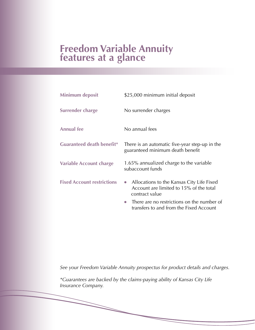## **Freedom Variable Annuity features at a glance**

| <b>Minimum deposit</b>            | \$25,000 minimum initial deposit                                                                                    |  |  |  |
|-----------------------------------|---------------------------------------------------------------------------------------------------------------------|--|--|--|
| Surrender charge                  | No surrender charges                                                                                                |  |  |  |
| <b>Annual fee</b>                 | No annual fees                                                                                                      |  |  |  |
| <b>Guaranteed death benefit*</b>  | There is an automatic five-year step-up in the<br>guaranteed minimum death benefit                                  |  |  |  |
| <b>Variable Account charge</b>    | 1.65% annualized charge to the variable<br>subaccount funds                                                         |  |  |  |
| <b>Fixed Account restrictions</b> | Allocations to the Kansas City Life Fixed<br>$\bullet$<br>Account are limited to 15% of the total<br>contract value |  |  |  |
|                                   | There are no restrictions on the number of<br>$\bullet$<br>transfers to and from the Fixed Account                  |  |  |  |

*See your Freedom Variable Annuity prospectus for product details and charges.*

*\*Guarantees are backed by the claims-paying ability of Kansas City Life Insurance Company.*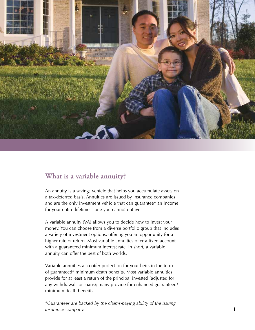

#### **What is a variable annuity?**

An annuity is a savings vehicle that helps you accumulate assets on a tax-deferred basis. Annuities are issued by insurance companies and are the only investment vehicle that can guarantee\* an income for your entire lifetime – one you cannot outlive.

A variable annuity (VA) allows you to decide how to invest your money. You can choose from a diverse portfolio group that includes a variety of investment options, offering you an opportunity for a higher rate of return. Most variable annuities offer a fixed account with a guaranteed minimum interest rate. In short, a variable annuity can offer the best of both worlds.

Variable annuities also offer protection for your heirs in the form of guaranteed\* minimum death benefits. Most variable annuities provide for at least a return of the principal invested (adjusted for any withdrawals or loans); many provide for enhanced guaranteed\* minimum death benefits.

*\*Guarantees are backed by the claims-paying ability of the issuing insurance company.*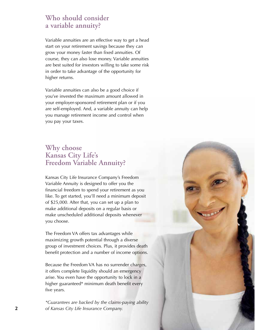#### **Who should consider a variable annuity?**

Variable annuities are an effective way to get a head start on your retirement savings because they can grow your money faster than fixed annuities. Of course, they can also lose money. Variable annuities are best suited for investors willing to take some risk in order to take advantage of the opportunity for higher returns.

Variable annuities can also be a good choice if you've invested the maximum amount allowed in your employer-sponsored retirement plan or if you are self-employed. And, a variable annuity can help you manage retirement income and control when you pay your taxes.

#### **Why choose Kansas City Life's Freedom Variable Annuity?**

Kansas City Life Insurance Company's Freedom Variable Annuity is designed to offer you the financial freedom to spend your retirement as you like. To get started, you'll need a minimum deposit of \$25,000. After that, you can set up a plan to make additional deposits on a regular basis or make unscheduled additional deposits whenever you choose.

The Freedom VA offers tax advantages while maximizing growth potential through a diverse group of investment choices. Plus, it provides death benefit protection and a number of income options.

Because the Freedom VA has no surrender charges, it offers complete liquidity should an emergency arise. You even have the opportunity to lock in a higher guaranteed\* minimum death benefit every five years.

*\*Guarantees are backed by the claims-paying ability*  **2** *of Kansas City Life Insurance Company.*

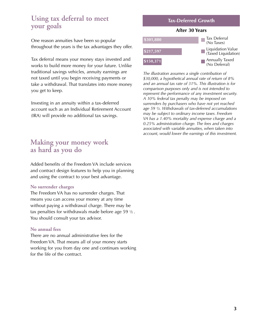#### **Using tax deferral to meet your goals**

One reason annuities have been so popular throughout the years is the tax advantages they offer.

Tax deferral means your money stays invested and works to build more money for your future. Unlike traditional savings vehicles, annuity earnings are not taxed until you begin receiving payments or take a withdrawal. That translates into more money you get to keep.

Investing in an annuity within a tax-deferred account such as an Individual Retirement Account (IRA) will provide no additional tax savings.

#### **Making your money work as hard as you do**

Added benefits of the Freedom VA include services and contract design features to help you in planning and using the contract to your best advantage.

#### **No surrender charges**

The Freedom VA has no surrender charges. That means you can access your money at any time without paying a withdrawal charge. There may be tax penalties for withdrawals made before age  $59\frac{1}{2}$ . You should consult your tax advisor.

#### **No annual fees**

There are no annual administrative fees for the Freedom VA. That means all of your money starts working for you from day one and continues working for the life of the contract.



*The illustration assumes a single contribution of \$30,000, a hypothetical annual rate of return of 8% and an annual tax rate of 31%. This illustration is for comparison purposes only and is not intended to represent the performance of any investment security. A 10% federal tax penalty may be imposed on surrenders by purchasers who have not yet reached age 59 ½. Withdrawals of tax-deferred accumulations may be subject to ordinary income taxes. Freedom VA has a 1.40% mortality and expense charge and a 0.25% administration charge. The fees and charges associated with variable annuities, when taken into account, would lower the earnings of this investment.*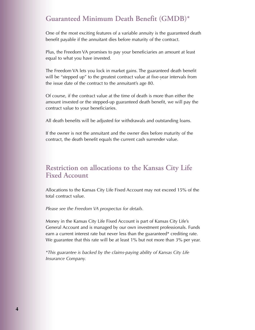### **Guaranteed Minimum Death Benefit (GMDB)\***

One of the most exciting features of a variable annuity is the guaranteed death benefit payable if the annuitant dies before maturity of the contract.

Plus, the Freedom VA promises to pay your beneficiaries an amount at least equal to what you have invested.

The Freedom VA lets you lock in market gains. The guaranteed death benefit will be "stepped up" to the greatest contract value at five-year intervals from the issue date of the contract to the annuitant's age 80.

Of course, if the contract value at the time of death is more than either the amount invested or the stepped-up guaranteed death benefit, we will pay the contract value to your beneficiaries.

All death benefits will be adjusted for withdrawals and outstanding loans.

If the owner is not the annuitant and the owner dies before maturity of the contract, the death benefit equals the current cash surrender value.

#### **Restriction on allocations to the Kansas City Life Fixed Account**

Allocations to the Kansas City Life Fixed Account may not exceed 15% of the total contract value.

*Please see the Freedom VA prospectus for details.*

Money in the Kansas City Life Fixed Account is part of Kansas City Life's General Account and is managed by our own investment professionals. Funds earn a current interest rate but never less than the guaranteed\* crediting rate. We guarantee that this rate will be at least 1% but not more than 3% per year.

*\*This guarantee is backed by the claims-paying ability of Kansas City Life Insurance Company.*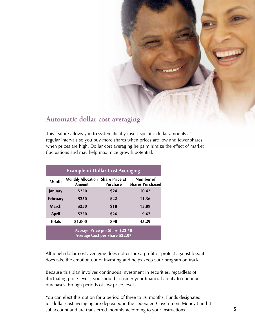#### **Automatic dollar cost averaging**

This feature allows you to systematically invest specific dollar amounts at regular intervals so you buy more shares when prices are low and fewer shares when prices are high. Dollar cost averaging helps minimize the effect of market fluctuations and may help maximize growth potential.

| <b>Example of Dollar Cost Averaging</b>                                         |                                                    |                 |                                      |  |  |  |  |
|---------------------------------------------------------------------------------|----------------------------------------------------|-----------------|--------------------------------------|--|--|--|--|
| Month                                                                           | <b>Monthly Allocation Share Price at</b><br>Amount | <b>Purchase</b> | Number of<br><b>Shares Purchased</b> |  |  |  |  |
| January                                                                         | \$250                                              | \$24            | 10.42                                |  |  |  |  |
| <b>February</b>                                                                 | \$250                                              | \$22            | 11.36                                |  |  |  |  |
| March                                                                           | \$250                                              | \$18            | 13.89                                |  |  |  |  |
| April                                                                           | \$250                                              | \$26            | 9.62                                 |  |  |  |  |
| <b>Totals</b>                                                                   | \$1,000                                            | \$90            | 45.29                                |  |  |  |  |
| <b>Average Price per Share \$22.50</b><br><b>Average Cost per Share \$22.07</b> |                                                    |                 |                                      |  |  |  |  |

Although dollar cost averaging does not ensure a profit or protect against loss, it does take the emotion out of investing and helps keep your program on track.

Because this plan involves continuous investment in securities, regardless of fluctuating price levels, you should consider your financial ability to continue purchases through periods of low price levels.

You can elect this option for a period of three to 36 months. Funds designated for dollar cost averaging are deposited in the Federated Government Money Fund II subaccount and are transferred monthly according to your instructions.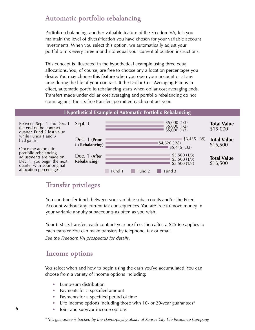#### **Automatic portfolio rebalancing**

Portfolio rebalancing, another valuable feature of the Freedom VA, lets you maintain the level of diversification you have chosen for your variable account investments. When you select this option, we automatically adjust your portfolio mix every three months to equal your current allocation instructions.

This concept is illustrated in the hypothetical example using three equal allocations. You, of course, are free to choose any allocation percentages you desire. You may choose this feature when you open your account or at any time during the life of your contract. If the Dollar Cost Averaging Plan is in effect, automatic portfolio rebalancing starts when dollar cost averaging ends. Transfers made under dollar cost averaging and portfolio rebalancing do not count against the six free transfers permitted each contract year.

#### **Hypothetical Example of Automatic Portfolio Rebalancing**

| Between Sept. 1 and Dec. 1,<br>the end of the contract<br>quarter, Fund 2 lost value<br>while Funds 1 and 3                                                                 | Sept. 1                          |        |        | \$5,000(1/3)<br>$$5,000(1/3)$<br>\$5,000 (1/3)         | <b>Total Value</b><br>\$15,000 |
|-----------------------------------------------------------------------------------------------------------------------------------------------------------------------------|----------------------------------|--------|--------|--------------------------------------------------------|--------------------------------|
| had gains.<br>Once the automatic<br>portfolio rebalancing<br>adjustments are made on<br>Dec. 1, you begin the next<br>quarter with your original<br>allocation percentages. | Dec. 1 (Prior<br>to Rebalancing) |        |        | \$6,435(.39)<br>\$4,620(.28)<br>\$5,445(.33)           | <b>Total Value</b><br>\$16,500 |
|                                                                                                                                                                             | Dec. 1 (After<br>Rebalancing)    | Fund 1 | Fund 2 | \$5,500(1/3)<br>\$5,500(1/3)<br>\$5,500(1/3)<br>Fund 3 | <b>Total Value</b><br>\$16,500 |

#### **Transfer privileges**

You can transfer funds between your variable subaccounts and/or the Fixed Account without any current tax consequences. You are free to move money in your variable annuity subaccounts as often as you wish.

Your first six transfers each contract year are free; thereafter, a \$25 fee applies to each transfer. You can make transfers by telephone, fax or email*. See the Freedom VA prospectus for details.*

#### **Income options**

You select when and how to begin using the cash you've accumulated. You can choose from a variety of income options including:

- Lump-sum distribution
- Payments for a specified amount
- Payments for a specified period of time
- Life income options including those with 10- or 20-year guarantees\*
- Joint and survivor income options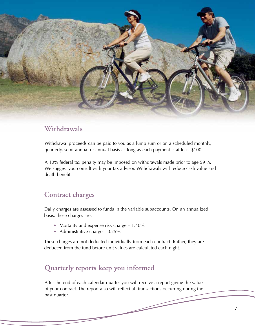

#### **Withdrawals**

Withdrawal proceeds can be paid to you as a lump sum or on a scheduled monthly, quarterly, semi-annual or annual basis as long as each payment is at least \$100.

A 10% federal tax penalty may be imposed on withdrawals made prior to age 59  $\frac{1}{2}$ . We suggest you consult with your tax advisor. Withdrawals will reduce cash value and death benefit.

#### **Contract charges**

Daily charges are assessed to funds in the variable subaccounts. On an annualized basis, these charges are:

- Mortality and expense risk charge 1.40%
- Administrative charge  $-0.25\%$

These charges are not deducted individually from each contract. Rather, they are deducted from the fund before unit values are calculated each night.

## **Quarterly reports keep you informed**

After the end of each calendar quarter you will receive a report giving the value of your contract. The report also will reflect all transactions occurring during the past quarter.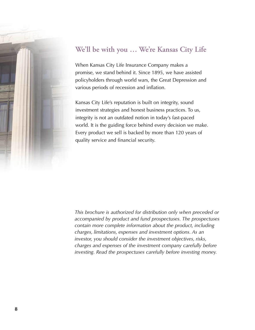

## **We'll be with you … We're Kansas City Life**

When Kansas City Life Insurance Company makes a promise, we stand behind it. Since 1895, we have assisted policyholders through world wars, the Great Depression and various periods of recession and inflation.

Kansas City Life's reputation is built on integrity, sound investment strategies and honest business practices. To us, integrity is not an outdated notion in today's fast-paced world. It is the guiding force behind every decision we make. Every product we sell is backed by more than 120 years of quality service and financial security.

*This brochure is authorized for distribution only when preceded or accompanied by product and fund prospectuses. The prospectuses contain more complete information about the product, including charges, limitations, expenses and investment options. As an investor, you should consider the investment objectives, risks, charges and expenses of the investment company carefully before investing. Read the prospectuses carefully before investing money.*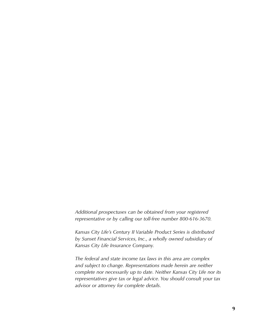*Additional prospectuses can be obtained from your registered representative or by calling our toll-free number 800-616-3670.*

*Kansas City Life's Century II Variable Product Series is distributed by Sunset Financial Services, Inc., a wholly owned subsidiary of Kansas City Life Insurance Company.*

*The federal and state income tax laws in this area are complex and subject to change. Representations made herein are neither complete nor necessarily up to date. Neither Kansas City Life nor its representatives give tax or legal advice. You should consult your tax advisor or attorney for complete details.*